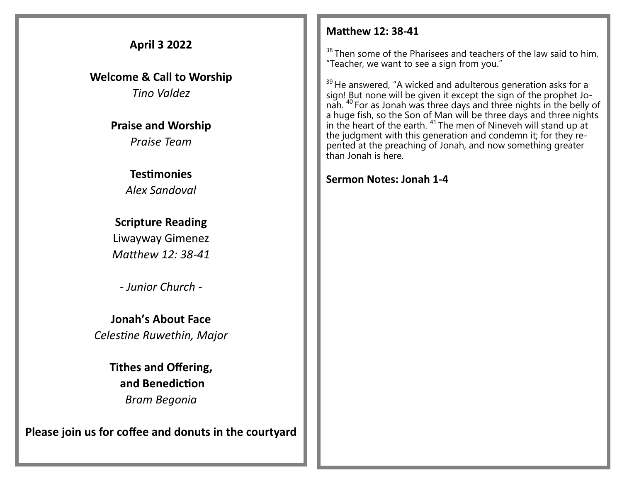## **April 3 2022**

**Welcome & Call to Worship**  *Tino Valdez*

> **Praise and Worship** *Praise Team*

## **Testimonies**

*Alex Sandoval*

**Scripture Reading**  Liwayway Gimenez *Matthew 12: 38-41*

*- Junior Church -*

**Jonah's About Face** *Celestine Ruwethin, Major*

> **Tithes and Offering, and Benediction** *Bram Begonia*

**Please join us for coffee and donuts in the courtyard**

## **Matthew 12: 38-41**

 $38$  Then some of the Pharisees and teachers of the law said to him, "Teacher, we want to see a sign from you."

 $39$  He answered, "A wicked and adulterous generation asks for a sign! But none will be given it except the sign of the prophet Jonah. <sup>40</sup> For as Jonah was three days and three nights in the belly of a huge fish, so the Son of Man will be three days and three nights in the heart of the earth.  $41$  The men of Nineveh will stand up at the judgment with this generation and condemn it; for they repented at the preaching of Jonah, and now something greater than Jonah is here.

**Sermon Notes: Jonah 1-4**